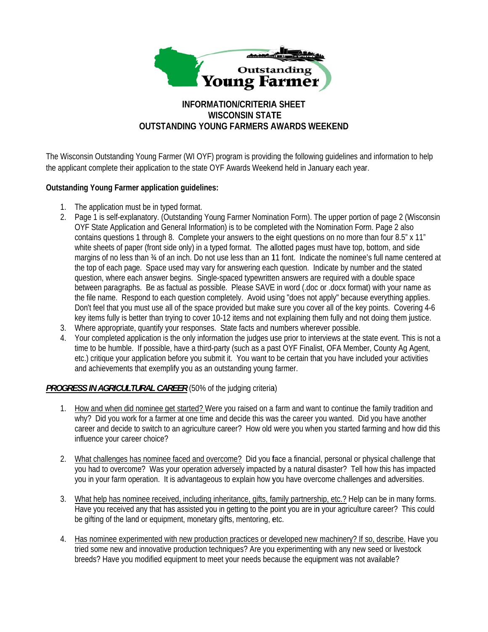

# **INFORMATION/CRITERIA SHEET WISCONSIN STATE** OUTSTANDING YOUNG FARMERS AWARDS WEEKEND

The Wisconsin Outstanding Young Farmer (WI OYF) program is providing the following guidelines and information to help the applicant complete their application to the state OYF Awards Weekend held in January each year.

# **Outstanding Young Farmer application quidelines:**

- 1. The application must be in typed format.
- 2. Page 1 is self-explanatory. (Outstanding Young Farmer Nomination Form). The upper portion of page 2 (Wisconsin OYF State Application and General Information) is to be completed with the Nomination Form. Page 2 also contains questions 1 through 8. Complete your answers to the eight questions on no more than four 8.5" x 11" white sheets of paper (front side only) in a typed format. The allotted pages must have top, bottom, and side margins of no less than 34 of an inch. Do not use less than an 11 font. Indicate the nominee's full name centered at the top of each page. Space used may vary for answering each question. Indicate by number and the stated question, where each answer begins. Single-spaced typewritten answers are required with a double space between paragraphs. Be as factual as possible. Please SAVE in word (.doc or .docx format) with your name as the file name. Respond to each question completely. Avoid using "does not apply" because everything applies. Don't feel that you must use all of the space provided but make sure you cover all of the key points. Covering 4-6 key items fully is better than trying to cover 10-12 items and not explaining them fully and not doing them justice.
- 3. Where appropriate, quantify your responses. State facts and numbers wherever possible.
- 4. Your completed application is the only information the judges use prior to interviews at the state event. This is not a time to be humble. If possible, have a third-party (such as a past OYF Finalist, OFA Member, County Ag Agent, etc.) critique your application before you submit it. You want to be certain that you have included your activities and achievements that exemplify you as an outstanding young farmer.

# **PROGRESS IN AGRICULTURAL CAREER** (50% of the judging criteria)

- 1. How and when did nominee get started? Were you raised on a farm and want to continue the family tradition and why? Did you work for a farmer at one time and decide this was the career you wanted. Did you have another career and decide to switch to an agriculture career? How old were you when you started farming and how did this influence your career choice?
- 2. What challenges has nominee faced and overcome? Did you face a financial, personal or physical challenge that you had to overcome? Was your operation adversely impacted by a natural disaster? Tell how this has impacted you in your farm operation. It is advantageous to explain how you have overcome challenges and adversities.
- 3. What help has nominee received, including inheritance, gifts, family partnership, etc.? Help can be in many forms. Have you received any that has assisted you in getting to the point you are in your agriculture career? This could be gifting of the land or equipment, monetary gifts, mentoring, etc.
- 4. Has nominee experimented with new production practices or developed new machinery? If so, describe. Have you tried some new and innovative production techniques? Are you experimenting with any new seed or livestock breeds? Have you modified equipment to meet your needs because the equipment was not available?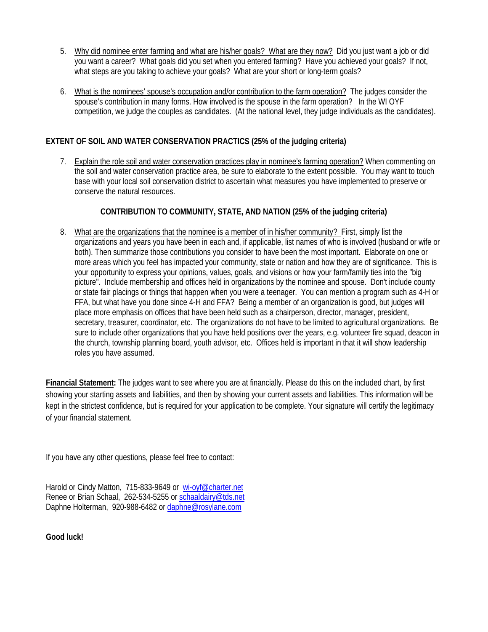- 5. Why did nominee enter farming and what are his/her goals? What are they now? Did you just want a job or did you want a career? What goals did you set when you entered farming? Have you achieved your goals? If not, what steps are you taking to achieve your goals? What are your short or long-term goals?
- 6. What is the nominees' spouse's occupation and/or contribution to the farm operation? The judges consider the spouse's contribution in many forms. How involved is the spouse in the farm operation? In the WI OYF competition, we judge the couples as candidates. (At the national level, they judge individuals as the candidates).

# **EXTENT OF SOIL AND WATER CONSERVATION PRACTICS (25% of the judging criteria)**

7. Explain the role soil and water conservation practices play in nominee's farming operation? When commenting on the soil and water conservation practice area, be sure to elaborate to the extent possible. You may want to touch base with your local soil conservation district to ascertain what measures you have implemented to preserve or conserve the natural resources.

# **CONTRIBUTION TO COMMUNITY, STATE, AND NATION (25% of the judging criteria)**

8. What are the organizations that the nominee is a member of in his/her community? First, simply list the organizations and years you have been in each and, if applicable, list names of who is involved (husband or wife or both). Then summarize those contributions you consider to have been the most important. Elaborate on one or more areas which you feel has impacted your community, state or nation and how they are of significance. This is your opportunity to express your opinions, values, goals, and visions or how your farm/family ties into the "big picture". Include membership and offices held in organizations by the nominee and spouse. Don't include county or state fair placings or things that happen when you were a teenager. You can mention a program such as 4-H or FFA, but what have you done since 4-H and FFA? Being a member of an organization is good, but judges will place more emphasis on offices that have been held such as a chairperson, director, manager, president, secretary, treasurer, coordinator, etc. The organizations do not have to be limited to agricultural organizations. Be sure to include other organizations that you have held positions over the years, e.g. volunteer fire squad, deacon in the church, township planning board, youth advisor, etc. Offices held is important in that it will show leadership roles you have assumed.

**Financial Statement:** The judges want to see where you are at financially. Please do this on the included chart, by first showing your starting assets and liabilities, and then by showing your current assets and liabilities. This information will be kept in the strictest confidence, but is required for your application to be complete. Your signature will certify the legitimacy of your financial statement.

If you have any other questions, please feel free to contact:

Harold or Cindy Matton, 715-833-9649 or wi-oyf@charter.net Renee or Brian Schaal, 262-534-5255 or schaaldairy@tds.net Daphne Holterman, 920-988-6482 or daphne@rosylane.com

**Good luck!**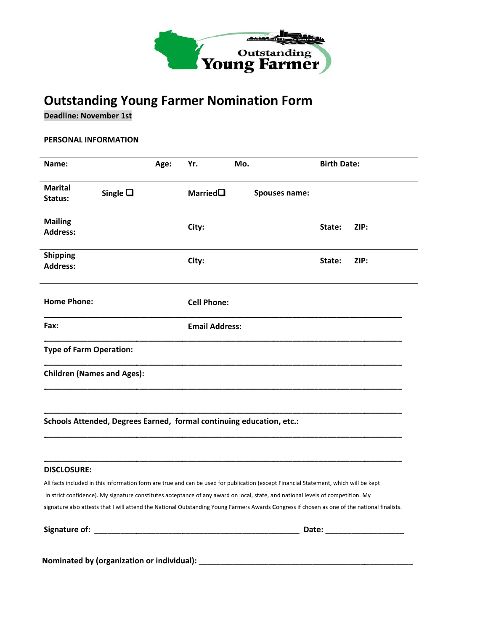

# **Outstanding Young Farmer Nomination Form**

**Deadline: November 1st** 

## PERSONAL INFORMATION

| Name:                              |                  | Age: | Yr.                   | Mo.                                                                                                                                  | <b>Birth Date:</b>                                                                                                                           |  |
|------------------------------------|------------------|------|-----------------------|--------------------------------------------------------------------------------------------------------------------------------------|----------------------------------------------------------------------------------------------------------------------------------------------|--|
| Marital<br>Status:                 | Single $\square$ |      | Married $\square$     | Spouses name:                                                                                                                        |                                                                                                                                              |  |
| <b>Mailing</b><br><b>Address:</b>  |                  |      | City:                 |                                                                                                                                      | State:<br>ZIP:                                                                                                                               |  |
| <b>Shipping</b><br><b>Address:</b> |                  |      | City:                 |                                                                                                                                      | ZIP:<br>State:                                                                                                                               |  |
| <b>Home Phone:</b>                 |                  |      | <b>Cell Phone:</b>    |                                                                                                                                      |                                                                                                                                              |  |
| <b>Fax:</b>                        |                  |      | <b>Email Address:</b> |                                                                                                                                      |                                                                                                                                              |  |
| <b>Type of Farm Operation:</b>     |                  |      |                       |                                                                                                                                      |                                                                                                                                              |  |
| <b>Children (Names and Ages):</b>  |                  |      |                       |                                                                                                                                      |                                                                                                                                              |  |
|                                    |                  |      |                       | Schools Attended, Degrees Earned, formal continuing education, etc.:                                                                 |                                                                                                                                              |  |
| <b>DISCLOSURE:</b>                 |                  |      |                       |                                                                                                                                      |                                                                                                                                              |  |
|                                    |                  |      |                       | All facts included in this information form are true and can be used for publication (except Financial Statement, which will be kept |                                                                                                                                              |  |
|                                    |                  |      |                       | In strict confidence). My signature constitutes acceptance of any award on local, state, and national levels of competition. My      |                                                                                                                                              |  |
|                                    |                  |      |                       |                                                                                                                                      |                                                                                                                                              |  |
|                                    |                  |      |                       |                                                                                                                                      | signature also attests that I will attend the National Outstanding Young Farmers Awards Congress if chosen as one of the national finalists. |  |